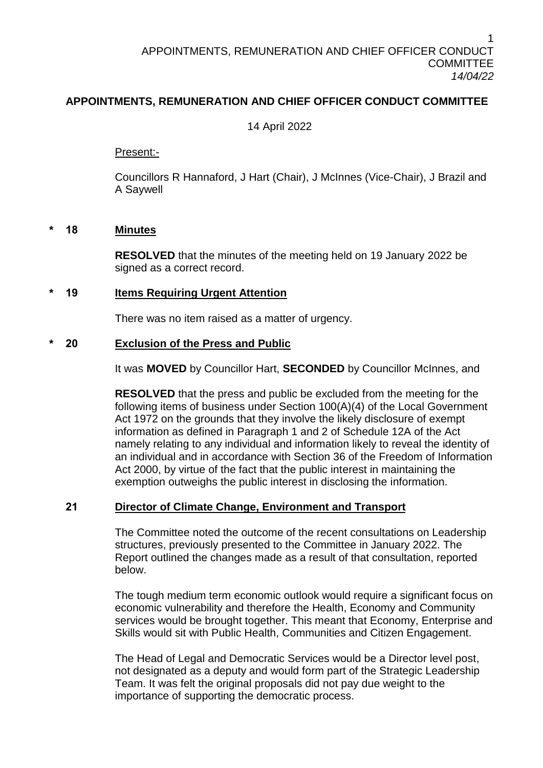# **APPOINTMENTS, REMUNERATION AND CHIEF OFFICER CONDUCT COMMITTEE**

# 14 April 2022

Present:-

Councillors R Hannaford, J Hart (Chair), J McInnes (Vice-Chair), J Brazil and A Saywell

#### **\* 18 Minutes**

**RESOLVED** that the minutes of the meeting held on 19 January 2022 be signed as a correct record.

### **\* 19 Items Requiring Urgent Attention**

There was no item raised as a matter of urgency.

### **\* 20 Exclusion of the Press and Public**

It was **MOVED** by Councillor Hart, **SECONDED** by Councillor McInnes, and

**RESOLVED** that the press and public be excluded from the meeting for the following items of business under Section 100(A)(4) of the Local Government Act 1972 on the grounds that they involve the likely disclosure of exempt information as defined in Paragraph 1 and 2 of Schedule 12A of the Act namely relating to any individual and information likely to reveal the identity of an individual and in accordance with Section 36 of the Freedom of Information Act 2000, by virtue of the fact that the public interest in maintaining the exemption outweighs the public interest in disclosing the information.

# **21 Director of Climate Change, Environment and Transport**

The Committee noted the outcome of the recent consultations on Leadership structures, previously presented to the Committee in January 2022. The Report outlined the changes made as a result of that consultation, reported below.

The tough medium term economic outlook would require a significant focus on economic vulnerability and therefore the Health, Economy and Community services would be brought together. This meant that Economy, Enterprise and Skills would sit with Public Health, Communities and Citizen Engagement.

The Head of Legal and Democratic Services would be a Director level post, not designated as a deputy and would form part of the Strategic Leadership Team. It was felt the original proposals did not pay due weight to the importance of supporting the democratic process.